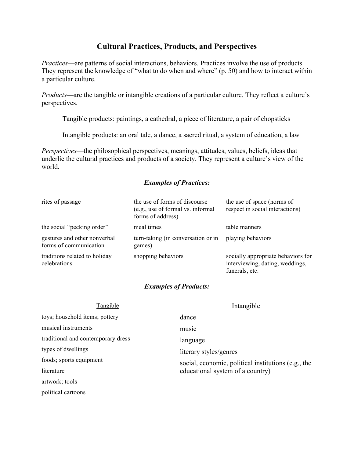# **Cultural Practices, Products, and Perspectives**

*Practices*—are patterns of social interactions, behaviors. Practices involve the use of products. They represent the knowledge of "what to do when and where" (p. 50) and how to interact within a particular culture.

*Products*—are the tangible or intangible creations of a particular culture. They reflect a culture's perspectives.

Tangible products: paintings, a cathedral, a piece of literature, a pair of chopsticks

Intangible products: an oral tale, a dance, a sacred ritual, a system of education, a law

*Perspectives*—the philosophical perspectives, meanings, attitudes, values, beliefs, ideas that underlie the cultural practices and products of a society. They represent a culture's view of the world.

## *Examples of Practices:*

| rites of passage                                       | the use of forms of discourse<br>(e.g., use of formal vs. informal<br>forms of address) | the use of space (norms of<br>respect in social interactions)                           |
|--------------------------------------------------------|-----------------------------------------------------------------------------------------|-----------------------------------------------------------------------------------------|
| the social "pecking order"                             | meal times                                                                              | table manners                                                                           |
| gestures and other nonverbal<br>forms of communication | turn-taking (in conversation or in<br>games)                                            | playing behaviors                                                                       |
| traditions related to holiday<br>celebrations          | shopping behaviors                                                                      | socially appropriate behaviors for<br>interviewing, dating, weddings,<br>funerals, etc. |

#### *Examples of Products:*

| Tangible                           | Intangible                                                                    |  |
|------------------------------------|-------------------------------------------------------------------------------|--|
| toys; household items; pottery     | dance                                                                         |  |
| musical instruments                | music                                                                         |  |
| traditional and contemporary dress | language                                                                      |  |
| types of dwellings                 | literary styles/genres<br>social, economic, political institutions (e.g., the |  |
| foods; sports equipment            |                                                                               |  |
| literature                         | educational system of a country)                                              |  |
| artwork; tools                     |                                                                               |  |
| political cartoons                 |                                                                               |  |